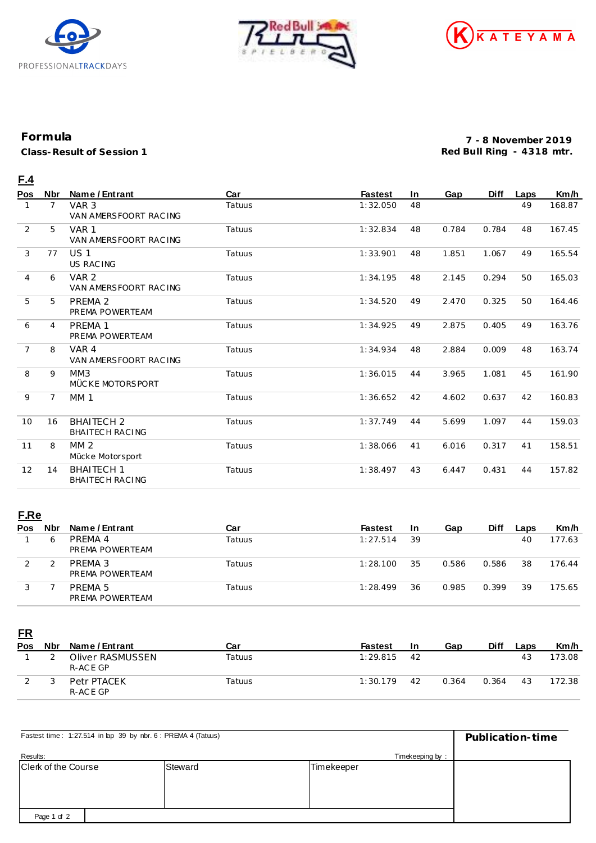





## **Formula**

**Class-Result of Session 1**

**7 - 8 November 2019 Red Bull Ring - 4318 mtr.**

## **F.4**

| Pos            | <b>Nbr</b>     | Name / Entrant                            | Car    | <b>Fastest</b> | <b>In</b> | Gap   | Diff  | Laps | Km/h   |
|----------------|----------------|-------------------------------------------|--------|----------------|-----------|-------|-------|------|--------|
| 1              | $\overline{7}$ | VAR <sub>3</sub><br>VAN AMERSFOORT RACING | Tatuus | 1:32.050       | 48        |       |       | 49   | 168.87 |
| 2              | 5              | VAR <sub>1</sub><br>VAN AMERSFOORT RACING | Tatuus | 1:32.834       | 48        | 0.784 | 0.784 | 48   | 167.45 |
| 3              | 77             | US <sub>1</sub><br><b>US RACING</b>       | Tatuus | 1:33.901       | 48        | 1.851 | 1.067 | 49   | 165.54 |
| $\overline{4}$ | 6              | VAR <sub>2</sub><br>VAN AMERSFOORT RACING | Tatuus | 1:34.195       | 48        | 2.145 | 0.294 | 50   | 165.03 |
| 5              | 5              | PREMA 2<br>PREMA POWERTEAM                | Tatuus | 1:34.520       | 49        | 2.470 | 0.325 | 50   | 164.46 |
| 6              | 4              | <b>PREMA 1</b><br>PREMA POWERTEAM         | Tatuus | 1:34.925       | 49        | 2.875 | 0.405 | 49   | 163.76 |
| $\overline{7}$ | 8              | VAR 4<br>VAN AMERSFOORT RACING            | Tatuus | 1:34.934       | 48        | 2.884 | 0.009 | 48   | 163.74 |
| 8              | 9              | MM3<br>MÜCKE MOTORSPORT                   | Tatuus | 1:36.015       | 44        | 3.965 | 1.081 | 45   | 161.90 |
| 9              | $\overline{7}$ | <b>MM1</b>                                | Tatuus | 1:36.652       | 42        | 4.602 | 0.637 | 42   | 160.83 |
| 10             | 16             | <b>BHAITECH 2</b><br>BHAITECH RACING      | Tatuus | 1:37.749       | 44        | 5.699 | 1.097 | 44   | 159.03 |
| 11             | 8              | MM <sub>2</sub><br>Mücke Motorsport       | Tatuus | 1:38.066       | 41        | 6.016 | 0.317 | 41   | 158.51 |
| 12             | 14             | <b>BHAITECH 1</b><br>BHAITECH RACING      | Tatuus | 1:38.497       | 43        | 6.447 | 0.431 | 44   | 157.82 |

## **F.Re**

| Pos | <b>Nbr</b> | Name / Entrant             | Car    | <b>Fastest</b> | 1n | Gap   | <b>Diff</b> | Laps | Km/h   |
|-----|------------|----------------------------|--------|----------------|----|-------|-------------|------|--------|
|     | ь          | PRFMA 4<br>PREMA POWERTEAM | Tatuus | 1:27.514       | 39 |       |             | 40   | 177.63 |
|     |            | PREMA 3<br>PREMA POWERTEAM | Tatuus | 1:28.100       | 35 | 0.586 | 0.586       | 38   | 176.44 |
|     |            | PRFMA 5<br>PREMA POWERTEAM | Tatuus | 1:28.499       | 36 | 0.985 | 0.399       | 39   | 175.65 |

**FR**

| Pos | <b>Nbr</b> | Name / Entrant               | Car    | <b>Fastest</b> | 1n | Gap   | Diff  | Laps | Km/h   |
|-----|------------|------------------------------|--------|----------------|----|-------|-------|------|--------|
|     |            | Oliver RASMUSSEN<br>R-ACE GP | Tatuus | 1:29.815       | 42 |       |       | 43   | 173.08 |
|     |            | Petr PTACEK<br>R-ACE GP      | Tatuus | 1:30.179       | 42 | 0.364 | 0.364 | 43   | 172.38 |

| Fastest time: 1:27.514 in lap 39 by nbr. 6 : PREMA 4 (Tatuus) | Publication-time |            |  |
|---------------------------------------------------------------|------------------|------------|--|
| Results:                                                      | Timekeeping by:  |            |  |
| <b>Clerk of the Course</b>                                    | Steward          | Timekeeper |  |
|                                                               |                  |            |  |
|                                                               |                  |            |  |
|                                                               |                  |            |  |
| Page 1 of 2                                                   |                  |            |  |